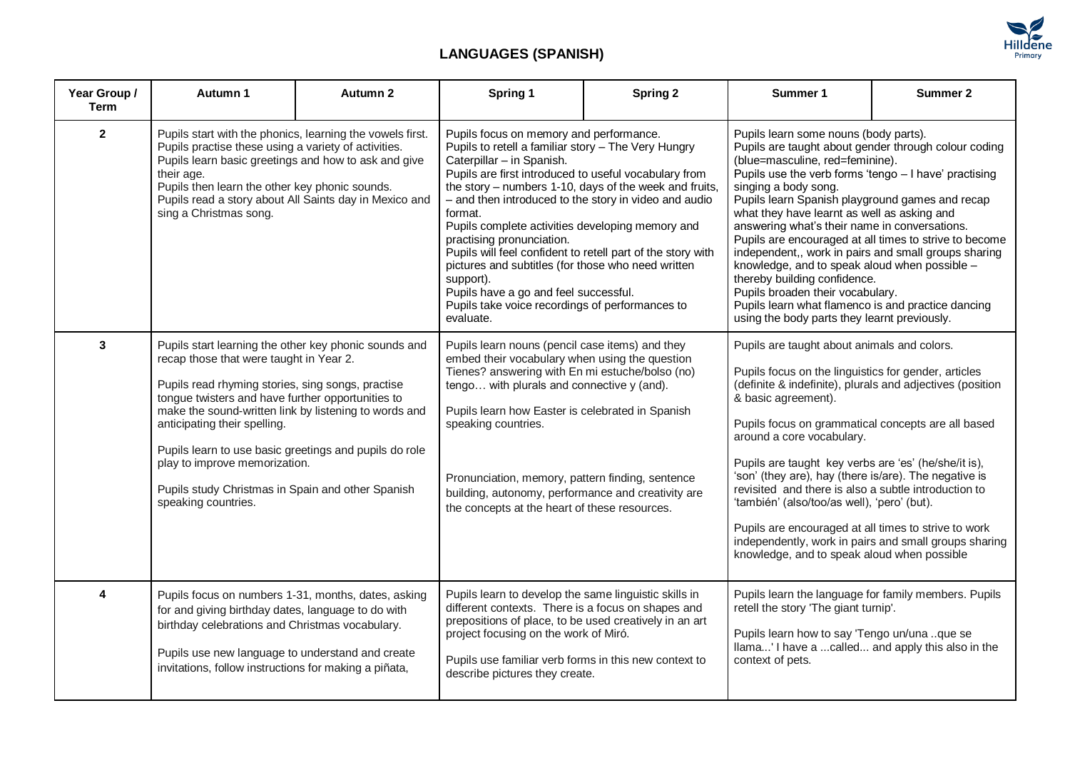

## **LANGUAGES (SPANISH)**

| Year Group /<br><b>Term</b> | Autumn 1                                                                                                                                                                                                                                                                                                                                                                                                                                                                   | Autumn 2 | Spring 1                                                                                                                                                                                                                                                                                                                                                                                                                                                                                                                                                                                                                                       | <b>Spring 2</b> | Summer 1                                                                                                                                                                                                                                                                                                                                                                                                                                                                                                                                                                                                                                                                                                          | Summer 2 |
|-----------------------------|----------------------------------------------------------------------------------------------------------------------------------------------------------------------------------------------------------------------------------------------------------------------------------------------------------------------------------------------------------------------------------------------------------------------------------------------------------------------------|----------|------------------------------------------------------------------------------------------------------------------------------------------------------------------------------------------------------------------------------------------------------------------------------------------------------------------------------------------------------------------------------------------------------------------------------------------------------------------------------------------------------------------------------------------------------------------------------------------------------------------------------------------------|-----------------|-------------------------------------------------------------------------------------------------------------------------------------------------------------------------------------------------------------------------------------------------------------------------------------------------------------------------------------------------------------------------------------------------------------------------------------------------------------------------------------------------------------------------------------------------------------------------------------------------------------------------------------------------------------------------------------------------------------------|----------|
| $\overline{2}$              | Pupils start with the phonics, learning the vowels first.<br>Pupils practise these using a variety of activities.<br>Pupils learn basic greetings and how to ask and give<br>their age.<br>Pupils then learn the other key phonic sounds.<br>Pupils read a story about All Saints day in Mexico and<br>sing a Christmas song.                                                                                                                                              |          | Pupils focus on memory and performance.<br>Pupils to retell a familiar story - The Very Hungry<br>Caterpillar - in Spanish.<br>Pupils are first introduced to useful vocabulary from<br>the story - numbers 1-10, days of the week and fruits,<br>- and then introduced to the story in video and audio<br>format.<br>Pupils complete activities developing memory and<br>practising pronunciation.<br>Pupils will feel confident to retell part of the story with<br>pictures and subtitles (for those who need written<br>support).<br>Pupils have a go and feel successful.<br>Pupils take voice recordings of performances to<br>evaluate. |                 | Pupils learn some nouns (body parts).<br>Pupils are taught about gender through colour coding<br>(blue=masculine, red=feminine).<br>Pupils use the verb forms 'tengo - I have' practising<br>singing a body song.<br>Pupils learn Spanish playground games and recap<br>what they have learnt as well as asking and<br>answering what's their name in conversations.<br>Pupils are encouraged at all times to strive to become<br>independent,, work in pairs and small groups sharing<br>knowledge, and to speak aloud when possible -<br>thereby building confidence.<br>Pupils broaden their vocabulary.<br>Pupils learn what flamenco is and practice dancing<br>using the body parts they learnt previously. |          |
| 3                           | Pupils start learning the other key phonic sounds and<br>recap those that were taught in Year 2.<br>Pupils read rhyming stories, sing songs, practise<br>tongue twisters and have further opportunities to<br>make the sound-written link by listening to words and<br>anticipating their spelling.<br>Pupils learn to use basic greetings and pupils do role<br>play to improve memorization.<br>Pupils study Christmas in Spain and other Spanish<br>speaking countries. |          | Pupils learn nouns (pencil case items) and they<br>embed their vocabulary when using the question<br>Tienes? answering with En mi estuche/bolso (no)<br>tengo with plurals and connective y (and).<br>Pupils learn how Easter is celebrated in Spanish<br>speaking countries.<br>Pronunciation, memory, pattern finding, sentence<br>building, autonomy, performance and creativity are<br>the concepts at the heart of these resources.                                                                                                                                                                                                       |                 | Pupils are taught about animals and colors.<br>Pupils focus on the linguistics for gender, articles<br>(definite & indefinite), plurals and adjectives (position<br>& basic agreement).<br>Pupils focus on grammatical concepts are all based<br>around a core vocabulary.<br>Pupils are taught key verbs are 'es' (he/she/it is),<br>'son' (they are), hay (there is/are). The negative is<br>revisited and there is also a subtle introduction to<br>'también' (also/too/as well), 'pero' (but).<br>Pupils are encouraged at all times to strive to work<br>independently, work in pairs and small groups sharing<br>knowledge, and to speak aloud when possible                                                |          |
| 4                           | Pupils focus on numbers 1-31, months, dates, asking<br>for and giving birthday dates, language to do with<br>birthday celebrations and Christmas vocabulary.<br>Pupils use new language to understand and create<br>invitations, follow instructions for making a piñata,                                                                                                                                                                                                  |          | Pupils learn to develop the same linguistic skills in<br>different contexts. There is a focus on shapes and<br>prepositions of place, to be used creatively in an art<br>project focusing on the work of Miró.<br>Pupils use familiar verb forms in this new context to<br>describe pictures they create.                                                                                                                                                                                                                                                                                                                                      |                 | Pupils learn the language for family members. Pupils<br>retell the story 'The giant turnip'.<br>Pupils learn how to say 'Tengo un/una que se<br>Ilama' I have a called and apply this also in the<br>context of pets.                                                                                                                                                                                                                                                                                                                                                                                                                                                                                             |          |